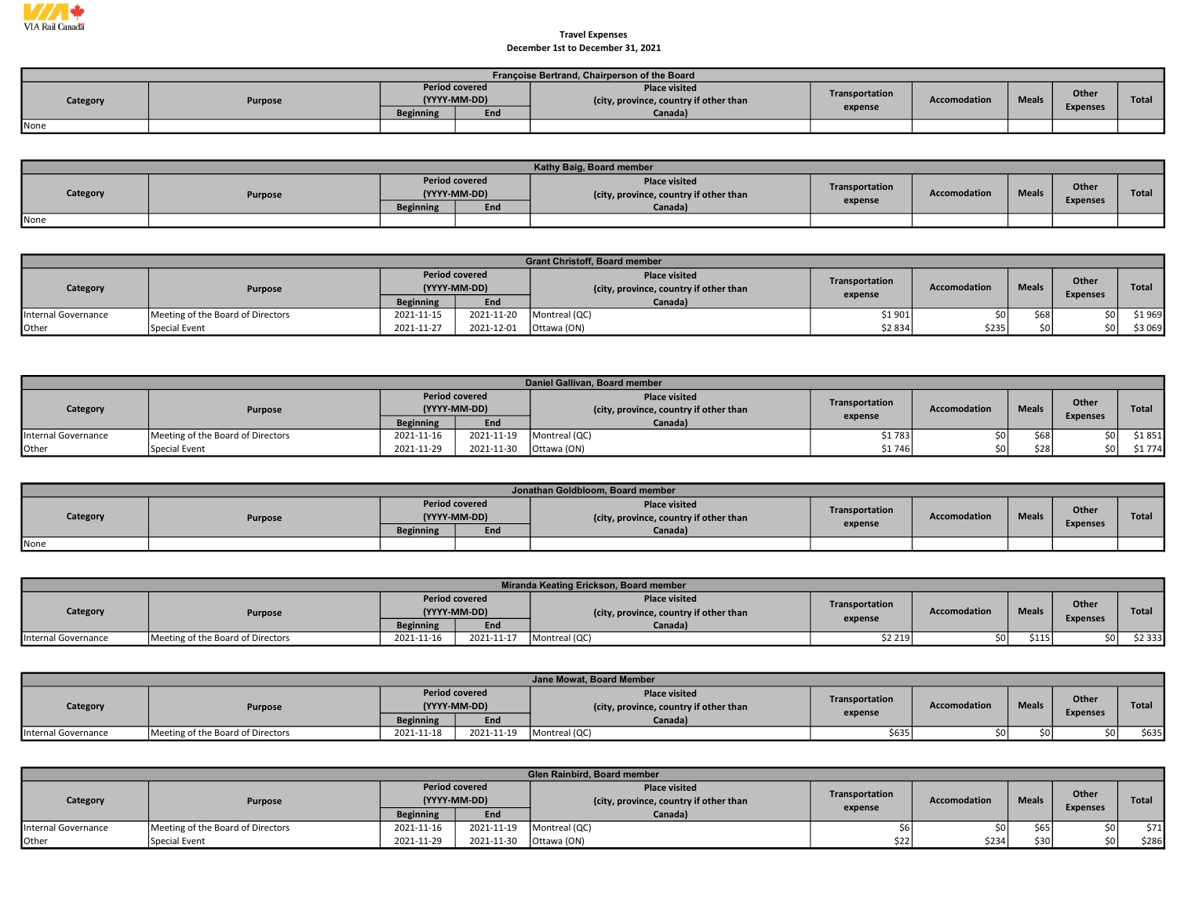

## Travel Expenses December 1st to December 31, 2021

|          | Françoise Bertrand, Chairperson of the Board |                                       |     |                                                         |                |              |              |                 |       |  |  |  |  |  |
|----------|----------------------------------------------|---------------------------------------|-----|---------------------------------------------------------|----------------|--------------|--------------|-----------------|-------|--|--|--|--|--|
| Category | Purpose                                      | <b>Period covered</b><br>(YYYY-MM-DD) |     | Place visited<br>(city, province, country if other than | Transportation | Accomodation | <b>Meals</b> | Other           | Total |  |  |  |  |  |
|          |                                              | <b>Beginning</b>                      | End | Canada)                                                 | expense        |              |              | <b>Expenses</b> |       |  |  |  |  |  |
| None     |                                              |                                       |     |                                                         |                |              |              |                 |       |  |  |  |  |  |

|          |         |                                       |     | Kathy Baig, Board member                                       |                |                     |              |                 |              |
|----------|---------|---------------------------------------|-----|----------------------------------------------------------------|----------------|---------------------|--------------|-----------------|--------------|
| Category | Purpose | <b>Period covered</b><br>(YYYY-MM-DD) |     | <b>Place visited</b><br>(city, province, country if other than | Transportation | <b>Accomodation</b> | <b>Meals</b> | Other           | <b>Total</b> |
|          |         | <b>Beginning</b>                      | End | Canada)                                                        | expense        |                     |              | <b>Expenses</b> |              |
| None     |         |                                       |     |                                                                |                |                     |              |                 |              |

|                     | <b>Grant Christoff, Board member</b> |                                       |            |                                                               |                |                     |              |                          |              |  |  |  |
|---------------------|--------------------------------------|---------------------------------------|------------|---------------------------------------------------------------|----------------|---------------------|--------------|--------------------------|--------------|--|--|--|
| Category            | <b>Purpose</b>                       | <b>Period covered</b><br>(YYYY-MM-DD) |            | <b>Place visited</b><br>city, province, country if other than | Transportation | <b>Accomodation</b> | <b>Meals</b> | Other<br><b>Expenses</b> | <b>Total</b> |  |  |  |
|                     |                                      | <b>Beginning</b>                      | End        | Canada)                                                       | expense        |                     |              |                          |              |  |  |  |
| Internal Governance | Meeting of the Board of Directors    | 2021-11-15                            | 2021-11-20 | Montreal (QC)                                                 | \$1901         | \$0l                | \$68         |                          | \$1969       |  |  |  |
| Other               | Special Event                        | 2021-11-27                            | 2021-12-01 | <sup>I</sup> Ottawa (ON)                                      | \$2834         | \$235               |              |                          | \$3 069      |  |  |  |

|                     | Daniel Gallivan, Board member     |                                       |            |                                                               |                |                     |              |                 |              |  |  |  |  |
|---------------------|-----------------------------------|---------------------------------------|------------|---------------------------------------------------------------|----------------|---------------------|--------------|-----------------|--------------|--|--|--|--|
| Category            | Purpose                           | <b>Period covered</b><br>(YYYY-MM-DD) |            | <b>Place visited</b><br>city, province, country if other than | Transportation | <b>Accomodation</b> | <b>Meals</b> | Other           | <b>Total</b> |  |  |  |  |
|                     |                                   | <b>Beginning</b>                      | End        | Canada)                                                       | expense        |                     |              | <b>Expenses</b> |              |  |  |  |  |
| Internal Governance | Meeting of the Board of Directors | 2021-11-16                            | 2021-11-19 | Montreal (QC)                                                 | \$1 783        | sol                 | \$68         |                 | \$1851       |  |  |  |  |
| Other               | Special Event                     | 2021-11-29                            | 2021-11-30 | Ottawa (ON)                                                   | \$1746         | \$0                 | \$28         | ċ٥              | \$1774       |  |  |  |  |

|          | Jonathan Goldbloom, Board member |                  |                                       |                                                                |                |              |              |                          |       |  |  |  |  |
|----------|----------------------------------|------------------|---------------------------------------|----------------------------------------------------------------|----------------|--------------|--------------|--------------------------|-------|--|--|--|--|
| Category | Purpose                          |                  | <b>Period covered</b><br>(YYYY-MM-DD) | <b>Place visited</b><br>(city, province, country if other than | Transportation | Accomodation | <b>Meals</b> | Other<br><b>Expenses</b> | Total |  |  |  |  |
|          |                                  | <b>Beginning</b> | End                                   | Canada)                                                        | expense        |              |              |                          |       |  |  |  |  |
| None     |                                  |                  |                                       |                                                                |                |              |              |                          |       |  |  |  |  |

|                     | Miranda Keating Erickson, Board member |                       |              |                                                               |                           |                     |              |                          |              |  |  |  |  |
|---------------------|----------------------------------------|-----------------------|--------------|---------------------------------------------------------------|---------------------------|---------------------|--------------|--------------------------|--------------|--|--|--|--|
| Category            | <b>Purpose</b>                         | <b>Period covered</b> | (YYYY-MM-DD) | <b>Place visited</b><br>city, province, country if other than | Transportation<br>expense | <b>Accomodation</b> | <b>Meals</b> | Other<br><b>Expenses</b> | <b>Total</b> |  |  |  |  |
|                     |                                        | <b>Beginning</b>      | End          | Canada)                                                       |                           |                     |              |                          |              |  |  |  |  |
| Internal Governance | Meeting of the Board of Directors      | 2021-11-16            | 2021-11-17   | Montreal (QC)                                                 | \$2 219                   | \$0 l               | \$115        |                          | \$2 333      |  |  |  |  |

|                     | Jane Mowat, Board Member          |                                       |            |                                                                |                           |                     |              |                 |              |  |  |  |  |
|---------------------|-----------------------------------|---------------------------------------|------------|----------------------------------------------------------------|---------------------------|---------------------|--------------|-----------------|--------------|--|--|--|--|
| Category            | Purpose                           | <b>Period covered</b><br>(YYYY-MM-DD) |            | <b>Place visited</b><br>(city, province, country if other than | Transportation<br>expense | <b>Accomodation</b> | <b>Meals</b> | Other           | <b>Total</b> |  |  |  |  |
|                     |                                   | <b>Beginning</b>                      | End        | Canada)                                                        |                           |                     |              | <b>Expenses</b> |              |  |  |  |  |
| Internal Governance | Meeting of the Board of Directors | 2021-11-18                            | 2021-11-19 | Montreal (QC)                                                  | \$635]                    |                     |              | \$0 l           | \$635        |  |  |  |  |

|                     | Glen Rainbird, Board member       |                                       |            |                                                               |                |                     |              |                 |              |  |  |  |
|---------------------|-----------------------------------|---------------------------------------|------------|---------------------------------------------------------------|----------------|---------------------|--------------|-----------------|--------------|--|--|--|
| Category            | Purpose                           | <b>Period covered</b><br>(YYYY-MM-DD) |            | <b>Place visited</b><br>city, province, country if other than | Transportation | <b>Accomodation</b> | <b>Meals</b> | Other           | <b>Total</b> |  |  |  |
|                     |                                   | <b>Beginning</b>                      | End        | Canada)                                                       | expense        |                     |              | <b>Expenses</b> |              |  |  |  |
| Internal Governance | Meeting of the Board of Directors | 2021-11-16                            | 2021-11-19 | Montreal (QC)                                                 |                |                     | \$65         | sn I            | \$71         |  |  |  |
| Other               | Special Event                     | 2021-11-29                            | 2021-11-30 | Ottawa (ON)                                                   | \$22           | \$234               | \$30         | sn l            | \$286        |  |  |  |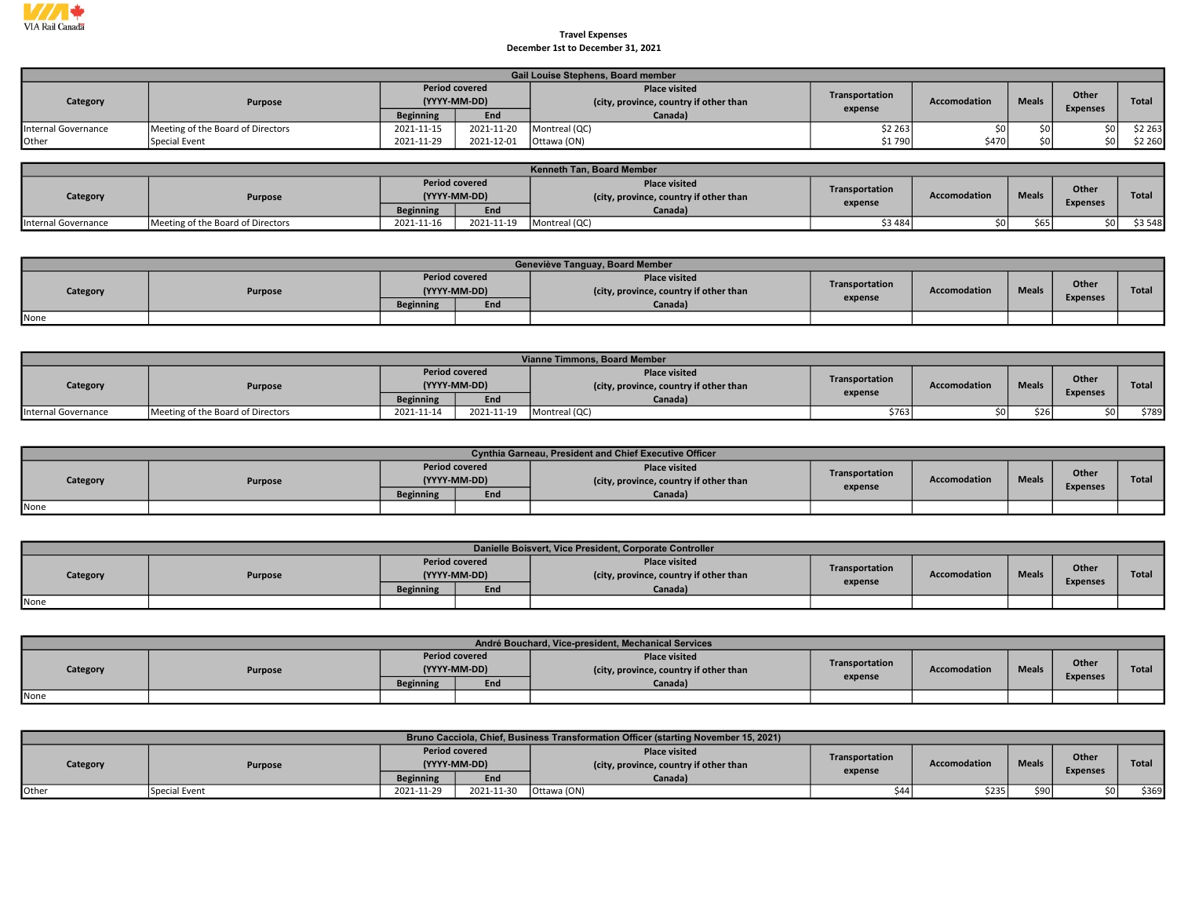

## Travel Expenses December 1st to December 31, 2021

|                     |                                   |                                       |            | Gail Louise Stephens, Board member                            |                |                     |              |                 |         |
|---------------------|-----------------------------------|---------------------------------------|------------|---------------------------------------------------------------|----------------|---------------------|--------------|-----------------|---------|
| Category            | Purpose                           | <b>Period covered</b><br>(YYYY-MM-DD) |            | <b>Place visited</b><br>city, province, country if other than | Transportation | <b>Accomodation</b> | <b>Meals</b> | Other           | Total   |
|                     |                                   | <b>Beginning</b>                      | End        | Canada)                                                       | expense        |                     |              | <b>Expenses</b> |         |
| Internal Governance | Meeting of the Board of Directors | 2021-11-15                            | 2021-11-20 | Montreal (QC)                                                 | \$2 263]       | ≮∩I                 |              |                 | \$2 263 |
| Other               | Special Event                     | 2021-11-29                            | 2021-12-01 | Ottawa (ON)                                                   | \$1790         | \$470               | ¢∩           |                 | \$2 260 |

|                     | Kenneth Tan, Board Member         |                                       |            |                                                                |                           |                     |              |                          |              |  |  |  |
|---------------------|-----------------------------------|---------------------------------------|------------|----------------------------------------------------------------|---------------------------|---------------------|--------------|--------------------------|--------------|--|--|--|
| Category            | Purpose                           | <b>Period covered</b><br>(YYYY-MM-DD) |            | <b>Place visited</b><br>(city, province, country if other than | Transportation<br>expense | <b>Accomodation</b> | <b>Meals</b> | Other<br><b>Expenses</b> | <b>Total</b> |  |  |  |
|                     |                                   | <b>Beginning</b>                      | End        | Canada)                                                        |                           |                     |              |                          |              |  |  |  |
| Internal Governance | Meeting of the Board of Directors | 2021-11-16                            | 2021-11-19 | Montreal (QC)                                                  | \$3 484                   |                     | \$65         | sn I                     | \$3 548      |  |  |  |

|          | Geneviève Tanguay, Board Member |                                       |                                                                |                |                     |              |                 |              |  |  |  |  |  |
|----------|---------------------------------|---------------------------------------|----------------------------------------------------------------|----------------|---------------------|--------------|-----------------|--------------|--|--|--|--|--|
| Category | Purpose                         | <b>Period covered</b><br>(YYYY-MM-DD) | <b>Place visited</b><br>(city, province, country if other than | Transportation | <b>Accomodation</b> | <b>Meals</b> | Other           | <b>Total</b> |  |  |  |  |  |
|          |                                 | End<br><b>Beginning</b>               | Canada)                                                        | expense        |                     |              | <b>Expenses</b> |              |  |  |  |  |  |
| None     |                                 |                                       |                                                                |                |                     |              |                 |              |  |  |  |  |  |

|                     | Vianne Timmons, Board Member      |                                       |            |                                                                |                |                     |              |                          |              |  |  |  |
|---------------------|-----------------------------------|---------------------------------------|------------|----------------------------------------------------------------|----------------|---------------------|--------------|--------------------------|--------------|--|--|--|
| Category            | <b>Purpose</b>                    | <b>Period covered</b><br>(YYYY-MM-DD) |            | <b>Place visited</b><br>(city, province, country if other than | Transportation | <b>Accomodation</b> | <b>Meals</b> | Other<br><b>Expenses</b> | <b>Total</b> |  |  |  |
|                     |                                   | <b>Beginning</b>                      | End        | Canada)                                                        | expense        |                     |              |                          |              |  |  |  |
| Internal Governance | Meeting of the Board of Directors | 2021-11-14                            | 2021-11-19 | Montreal (QC)                                                  | \$763          |                     | \$26         | sn I                     | \$789        |  |  |  |

|          | Cynthia Garneau, President and Chief Executive Officer |                  |                                       |                                                                |                |              |              |                 |              |  |  |  |  |
|----------|--------------------------------------------------------|------------------|---------------------------------------|----------------------------------------------------------------|----------------|--------------|--------------|-----------------|--------------|--|--|--|--|
| Category | <b>Purpose</b>                                         |                  | <b>Period covered</b><br>(YYYY-MM-DD) | <b>Place visited</b><br>(city, province, country if other than | Transportation | Accomodation | <b>Meals</b> | Other           | <b>Total</b> |  |  |  |  |
|          |                                                        | <b>Beginning</b> | End                                   | Canada)                                                        | expense        |              |              | <b>Expenses</b> |              |  |  |  |  |
| None     |                                                        |                  |                                       |                                                                |                |              |              |                 |              |  |  |  |  |

|          | Danielle Boisvert, Vice President, Corporate Controller |                  |                                       |                                                                |                |                     |              |                 |              |  |  |  |  |
|----------|---------------------------------------------------------|------------------|---------------------------------------|----------------------------------------------------------------|----------------|---------------------|--------------|-----------------|--------------|--|--|--|--|
| Category | <b>Purpose</b>                                          |                  | <b>Period covered</b><br>(YYYY-MM-DD) | <b>Place visited</b><br>(city, province, country if other than | Transportation | <b>Accomodation</b> | <b>Meals</b> | Other           | <b>Total</b> |  |  |  |  |
|          |                                                         | <b>Beginning</b> | End                                   | Canada)                                                        | expense        |                     |              | <b>Expenses</b> |              |  |  |  |  |
| None     |                                                         |                  |                                       |                                                                |                |                     |              |                 |              |  |  |  |  |

|          | André Bouchard, Vice-president, Mechanical Services |                  |                                       |                                                                |                |                     |              |                          |              |  |  |  |
|----------|-----------------------------------------------------|------------------|---------------------------------------|----------------------------------------------------------------|----------------|---------------------|--------------|--------------------------|--------------|--|--|--|
| Category | Purpose                                             |                  | <b>Period covered</b><br>(YYYY-MM-DD) | <b>Place visited</b><br>(city, province, country if other than | Transportation | <b>Accomodation</b> | <b>Meals</b> | Other<br><b>Expenses</b> | <b>Total</b> |  |  |  |
|          |                                                     | <b>Beginning</b> | End                                   | Canada)                                                        | expense        |                     |              |                          |              |  |  |  |
| None     |                                                     |                  |                                       |                                                                |                |                     |              |                          |              |  |  |  |

|              | Bruno Cacciola, Chief, Business Transformation Officer (starting November 15, 2021) |                  |                                       |                                                                |                           |                     |              |                          |              |  |  |  |
|--------------|-------------------------------------------------------------------------------------|------------------|---------------------------------------|----------------------------------------------------------------|---------------------------|---------------------|--------------|--------------------------|--------------|--|--|--|
| Category     | <b>Purpose</b>                                                                      |                  | <b>Period covered</b><br>(YYYY-MM-DD) | <b>Place visited</b><br>(city, province, country if other than | Transportation<br>expense | <b>Accomodation</b> | <b>Meals</b> | Other<br><b>Expenses</b> | <b>Total</b> |  |  |  |
|              |                                                                                     | <b>Beginning</b> | End                                   | Canada)                                                        |                           |                     |              |                          |              |  |  |  |
| <b>Other</b> | Special Event                                                                       | 2021-11-29       | 2021-11-30                            | Ottawa (ON)                                                    |                           | \$235               | \$90         |                          | \$369        |  |  |  |